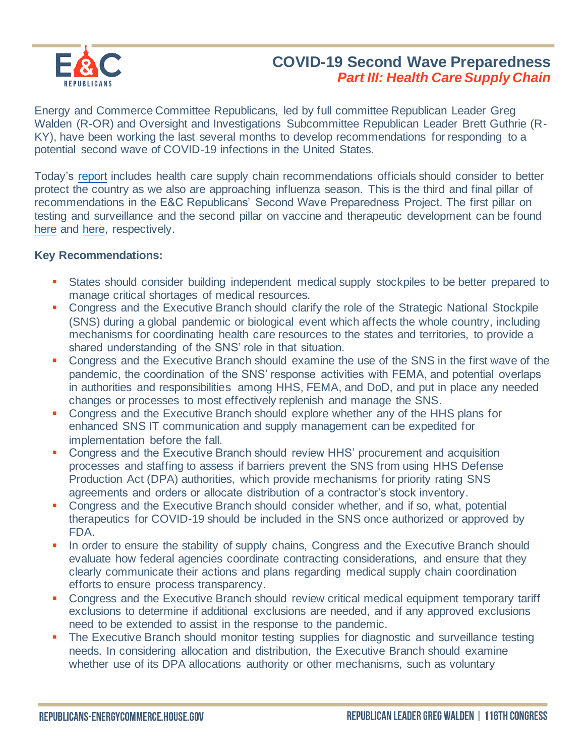

## **COVID-19 Second Wave Preparedness** *Part III: Health Care Supply Chain*

Energy and Commerce Committee Republicans, led by full committee Republican Leader Greg Walden (R-OR) and Oversight and Investigations Subcommittee Republican Leader Brett Guthrie (R-KY), have been working the last several months to develop recommendations for responding to a potential second wave of COVID-19 infections in the United States.

Today's [report](https://republicans-energycommerce.house.gov/wp-content/uploads/2020/08/Second-Wave-Supply-Chain-Report_2020_08_19_FINAL.pdf) includes health care supply chain recommendations officials should consider to better protect the country as we also are approaching influenza season. This is the third and final pillar of recommendations in the E&C Republicans' Second Wave Preparedness Project. The first pillar on testing and surveillance and the second pillar on vaccine and therapeutic development can be found [here](https://republicans-energycommerce.house.gov/news/walden-guthrie-announce-ec-republicans-second-wave-preparedness-project/) and [here,](https://republicans-energycommerce.house.gov/news/walden-guthrie-release-second-pillar-of-ec-republicans-second-wave-project/) respectively.

## **Key Recommendations:**

- States should consider building independent medical supply stockpiles to be better prepared to manage critical shortages of medical resources.
- Congress and the Executive Branch should clarify the role of the Strategic National Stockpile (SNS) during a global pandemic or biological event which affects the whole country, including mechanisms for coordinating health care resources to the states and territories, to provide a shared understanding of the SNS' role in that situation.
- **Congress and the Executive Branch should examine the use of the SNS in the first wave of the** pandemic, the coordination of the SNS' response activities with FEMA, and potential overlaps in authorities and responsibilities among HHS, FEMA, and DoD, and put in place any needed changes or processes to most effectively replenish and manage the SNS.
- Congress and the Executive Branch should explore whether any of the HHS plans for enhanced SNS IT communication and supply management can be expedited for implementation before the fall.
- Congress and the Executive Branch should review HHS' procurement and acquisition processes and staffing to assess if barriers prevent the SNS from using HHS Defense Production Act (DPA) authorities, which provide mechanisms for priority rating SNS agreements and orders or allocate distribution of a contractor's stock inventory.
- Congress and the Executive Branch should consider whether, and if so, what, potential therapeutics for COVID-19 should be included in the SNS once authorized or approved by FDA.
- **.** In order to ensure the stability of supply chains, Congress and the Executive Branch should evaluate how federal agencies coordinate contracting considerations, and ensure that they clearly communicate their actions and plans regarding medical supply chain coordination efforts to ensure process transparency.
- **Congress and the Executive Branch should review critical medical equipment temporary tariff** exclusions to determine if additional exclusions are needed, and if any approved exclusions need to be extended to assist in the response to the pandemic.
- **The Executive Branch should monitor testing supplies for diagnostic and surveillance testing** needs. In considering allocation and distribution, the Executive Branch should examine whether use of its DPA allocations authority or other mechanisms, such as voluntary